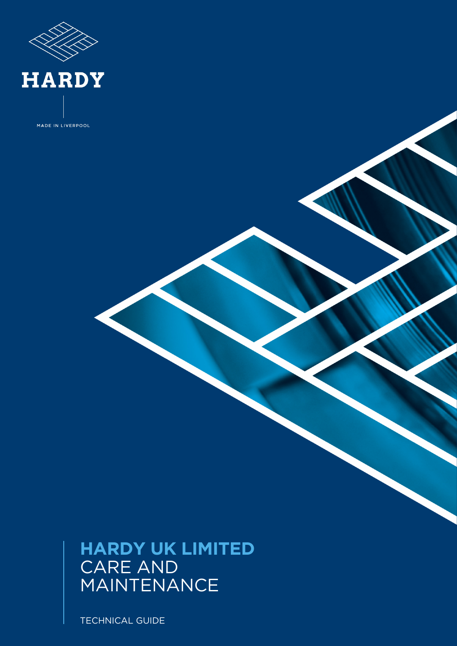

MADE IN LIVERPOOL

# **HARDY UK LIMITED** CARE AND MAINTENANCE

TECHNICAL GUIDE